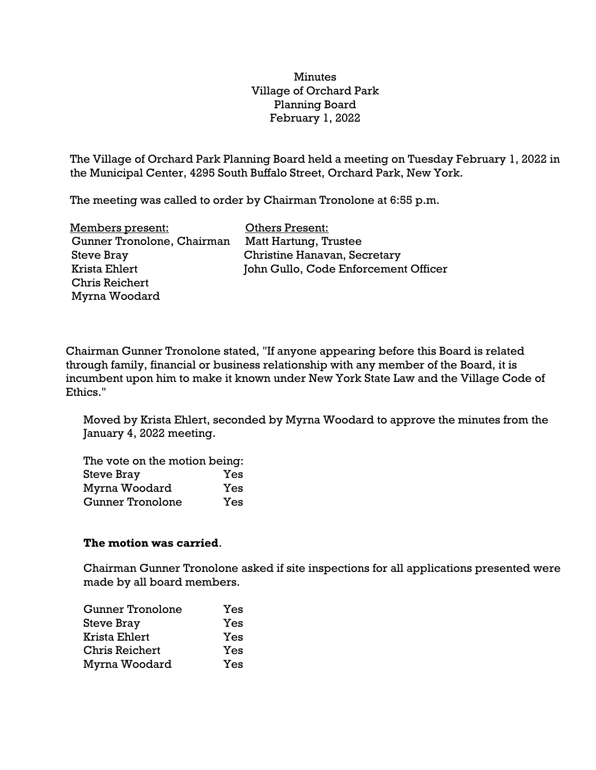## Minutes Village of Orchard Park Planning Board February 1, 2022

The Village of Orchard Park Planning Board held a meeting on Tuesday February 1, 2022 in the Municipal Center, 4295 South Buffalo Street, Orchard Park, New York.

The meeting was called to order by Chairman Tronolone at 6:55 p.m.

| Members present:           | <b>Others Present:</b>               |
|----------------------------|--------------------------------------|
| Gunner Tronolone, Chairman | Matt Hartung, Trustee                |
| <b>Steve Bray</b>          | Christine Hanavan, Secretary         |
| Krista Ehlert              | John Gullo, Code Enforcement Officer |
| <b>Chris Reichert</b>      |                                      |
| Myrna Woodard              |                                      |

Chairman Gunner Tronolone stated, "If anyone appearing before this Board is related through family, financial or business relationship with any member of the Board, it is incumbent upon him to make it known under New York State Law and the Village Code of Ethics."

Moved by Krista Ehlert, seconded by Myrna Woodard to approve the minutes from the January 4, 2022 meeting.

The vote on the motion being: Steve Bray Yes Myrna Woodard Yes Gunner Tronolone Yes

## **The motion was carried**.

Chairman Gunner Tronolone asked if site inspections for all applications presented were made by all board members.

| <b>Gunner Tronolone</b> | Yes |
|-------------------------|-----|
| <b>Steve Bray</b>       | Yes |
| Krista Ehlert           | Yes |
| <b>Chris Reichert</b>   | Yes |
| Myrna Woodard           | Yes |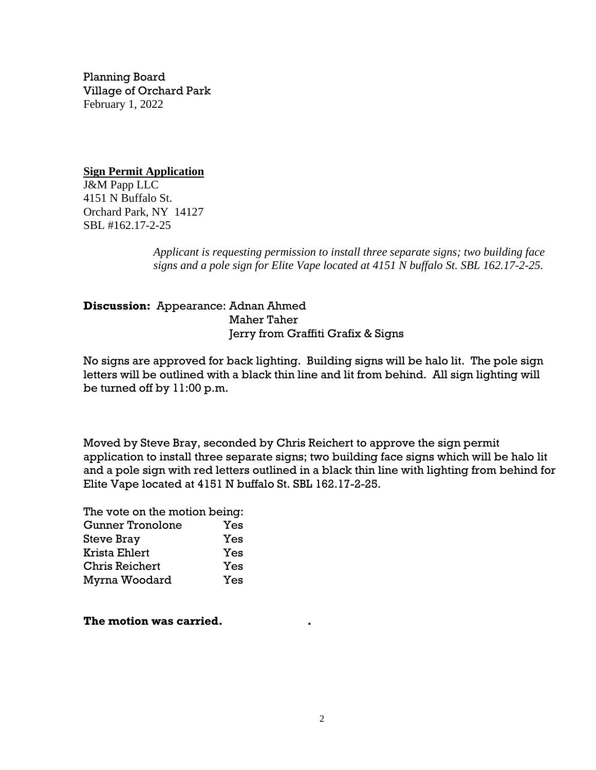Planning Board Village of Orchard Park February 1, 2022

**Sign Permit Application** J&M Papp LLC 4151 N Buffalo St. Orchard Park, NY 14127 SBL #162.17-2-25

> *Applicant is requesting permission to install three separate signs; two building face signs and a pole sign for Elite Vape located at 4151 N buffalo St. SBL 162.17-2-25.*

**Discussion:** Appearance: Adnan Ahmed Maher Taher Jerry from Graffiti Grafix & Signs

No signs are approved for back lighting. Building signs will be halo lit. The pole sign letters will be outlined with a black thin line and lit from behind. All sign lighting will be turned off by 11:00 p.m.

Moved by Steve Bray, seconded by Chris Reichert to approve the sign permit application to install three separate signs; two building face signs which will be halo lit and a pole sign with red letters outlined in a black thin line with lighting from behind for Elite Vape located at 4151 N buffalo St. SBL 162.17-2-25.

The vote on the motion being: Gunner Tronolone Yes Steve Bray Yes Krista Ehlert Yes Chris Reichert Yes Myrna Woodard Yes

**The motion was carried. .**